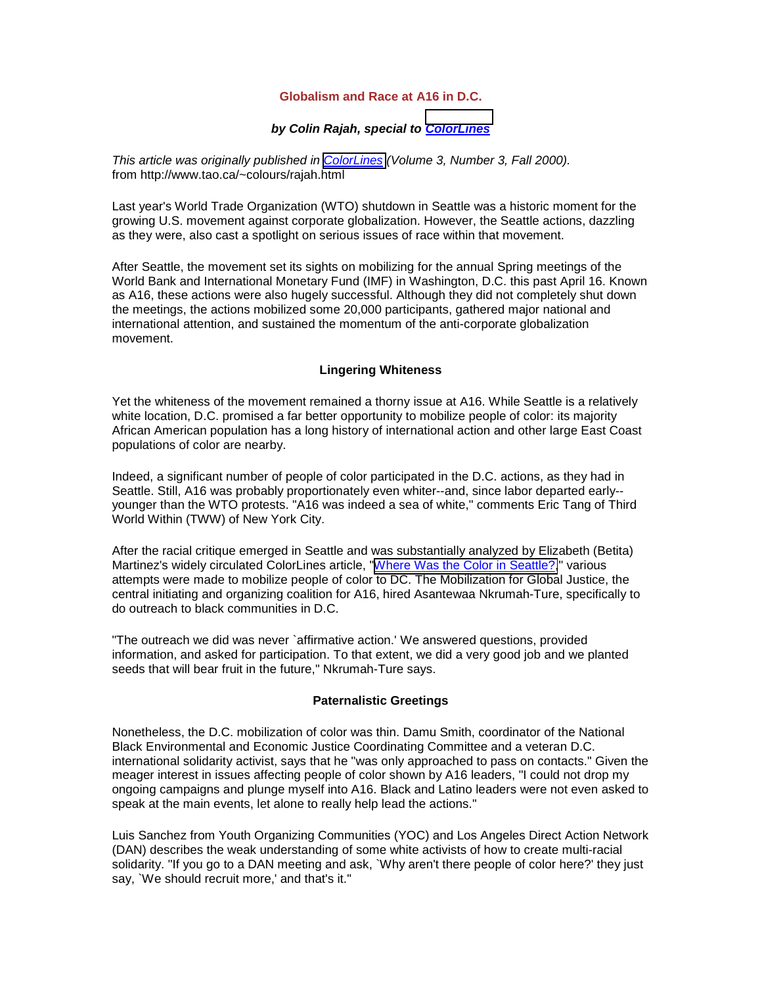# **Globalism and Race at A16 in D.C.**

### *by Colin Rajah, special to [ColorLines](http://www.colorlines.com/)*

*This article was originally published in [ColorLines](http://www.colorlines.com/) (Volume 3, Number 3, Fall 2000).*  from http://www.tao.ca/~colours/rajah.html

Last year's World Trade Organization (WTO) shutdown in Seattle was a historic moment for the growing U.S. movement against corporate globalization. However, the Seattle actions, dazzling as they were, also cast a spotlight on serious issues of race within that movement.

After Seattle, the movement set its sights on mobilizing for the annual Spring meetings of the World Bank and International Monetary Fund (IMF) in Washington, D.C. this past April 16. Known as A16, these actions were also hugely successful. Although they did not completely shut down the meetings, the actions mobilized some 20,000 participants, gathered major national and international attention, and sustained the momentum of the anti-corporate globalization movement.

#### **Lingering Whiteness**

Yet the whiteness of the movement remained a thorny issue at A16. While Seattle is a relatively white location, D.C. promised a far better opportunity to mobilize people of color: its majority African American population has a long history of international action and other large East Coast populations of color are nearby.

Indeed, a significant number of people of color participated in the D.C. actions, as they had in Seattle. Still, A16 was probably proportionately even whiter--and, since labor departed early- younger than the WTO protests. "A16 was indeed a sea of white," comments Eric Tang of Third World Within (TWW) of New York City.

After the racial critique emerged in Seattle and was substantially analyzed by Elizabeth (Betita) Martinez's widely circulated ColorLines article, "[Where Was the Color in Seattle?,](http://www.tao.ca/%7Ecolours/martinez.html)" various attempts were made to mobilize people of color to DC. The Mobilization for Global Justice, the central initiating and organizing coalition for A16, hired Asantewaa Nkrumah-Ture, specifically to do outreach to black communities in D.C.

"The outreach we did was never `affirmative action.' We answered questions, provided information, and asked for participation. To that extent, we did a very good job and we planted seeds that will bear fruit in the future," Nkrumah-Ture says.

#### **Paternalistic Greetings**

Nonetheless, the D.C. mobilization of color was thin. Damu Smith, coordinator of the National Black Environmental and Economic Justice Coordinating Committee and a veteran D.C. international solidarity activist, says that he "was only approached to pass on contacts." Given the meager interest in issues affecting people of color shown by A16 leaders, "I could not drop my ongoing campaigns and plunge myself into A16. Black and Latino leaders were not even asked to speak at the main events, let alone to really help lead the actions."

Luis Sanchez from Youth Organizing Communities (YOC) and Los Angeles Direct Action Network (DAN) describes the weak understanding of some white activists of how to create multi-racial solidarity. "If you go to a DAN meeting and ask, `Why aren't there people of color here?' they just say, `We should recruit more,' and that's it."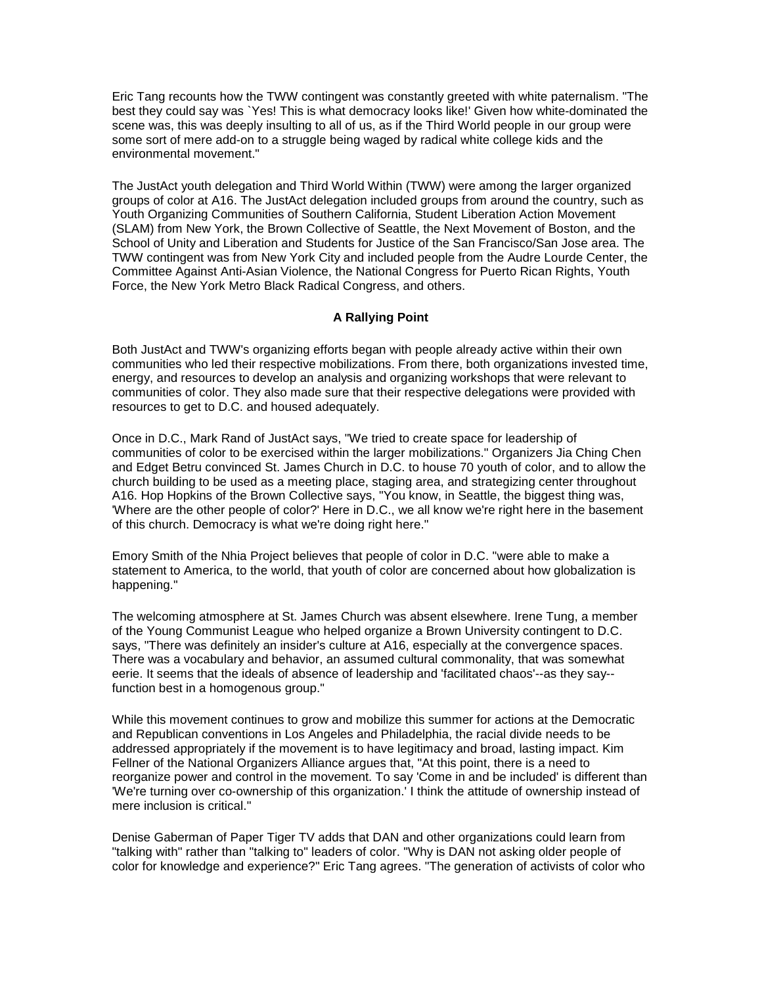Eric Tang recounts how the TWW contingent was constantly greeted with white paternalism. "The best they could say was `Yes! This is what democracy looks like!' Given how white-dominated the scene was, this was deeply insulting to all of us, as if the Third World people in our group were some sort of mere add-on to a struggle being waged by radical white college kids and the environmental movement."

The JustAct youth delegation and Third World Within (TWW) were among the larger organized groups of color at A16. The JustAct delegation included groups from around the country, such as Youth Organizing Communities of Southern California, Student Liberation Action Movement (SLAM) from New York, the Brown Collective of Seattle, the Next Movement of Boston, and the School of Unity and Liberation and Students for Justice of the San Francisco/San Jose area. The TWW contingent was from New York City and included people from the Audre Lourde Center, the Committee Against Anti-Asian Violence, the National Congress for Puerto Rican Rights, Youth Force, the New York Metro Black Radical Congress, and others.

# **A Rallying Point**

Both JustAct and TWW's organizing efforts began with people already active within their own communities who led their respective mobilizations. From there, both organizations invested time, energy, and resources to develop an analysis and organizing workshops that were relevant to communities of color. They also made sure that their respective delegations were provided with resources to get to D.C. and housed adequately.

Once in D.C., Mark Rand of JustAct says, "We tried to create space for leadership of communities of color to be exercised within the larger mobilizations." Organizers Jia Ching Chen and Edget Betru convinced St. James Church in D.C. to house 70 youth of color, and to allow the church building to be used as a meeting place, staging area, and strategizing center throughout A16. Hop Hopkins of the Brown Collective says, "You know, in Seattle, the biggest thing was, 'Where are the other people of color?' Here in D.C., we all know we're right here in the basement of this church. Democracy is what we're doing right here."

Emory Smith of the Nhia Project believes that people of color in D.C. "were able to make a statement to America, to the world, that youth of color are concerned about how globalization is happening."

The welcoming atmosphere at St. James Church was absent elsewhere. Irene Tung, a member of the Young Communist League who helped organize a Brown University contingent to D.C. says, "There was definitely an insider's culture at A16, especially at the convergence spaces. There was a vocabulary and behavior, an assumed cultural commonality, that was somewhat eerie. It seems that the ideals of absence of leadership and 'facilitated chaos'--as they say- function best in a homogenous group."

While this movement continues to grow and mobilize this summer for actions at the Democratic and Republican conventions in Los Angeles and Philadelphia, the racial divide needs to be addressed appropriately if the movement is to have legitimacy and broad, lasting impact. Kim Fellner of the National Organizers Alliance argues that, "At this point, there is a need to reorganize power and control in the movement. To say 'Come in and be included' is different than 'We're turning over co-ownership of this organization.' I think the attitude of ownership instead of mere inclusion is critical."

Denise Gaberman of Paper Tiger TV adds that DAN and other organizations could learn from "talking with" rather than "talking to" leaders of color. "Why is DAN not asking older people of color for knowledge and experience?" Eric Tang agrees. "The generation of activists of color who